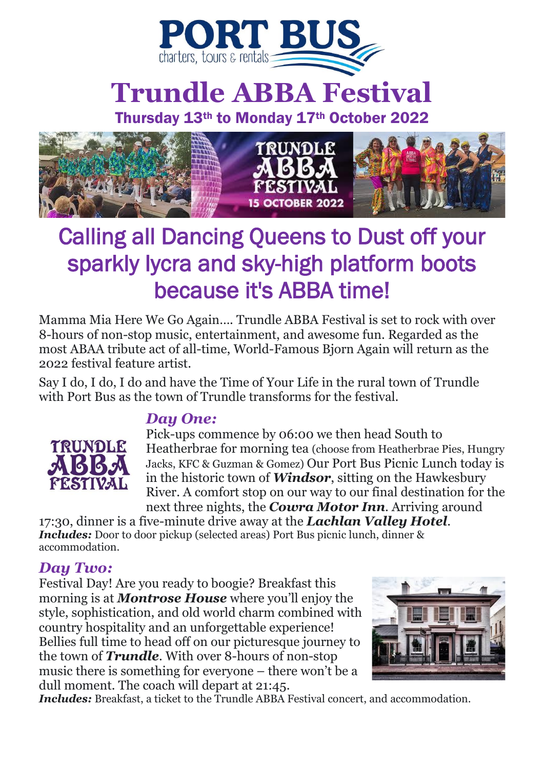

# **Trundle ABBA Festival**

Thursday 13th to Monday 17th October 2022



# Calling all Dancing Queens to Dust off your sparkly lycra and sky-high platform boots because it's ABBA time!

Mamma Mia Here We Go Again…. Trundle ABBA Festival is set to rock with over 8-hours of non-stop music, entertainment, and awesome fun. Regarded as the most ABAA tribute act of all-time, World-Famous Bjorn Again will return as the 2022 festival feature artist.

Say I do, I do, I do and have the Time of Your Life in the rural town of Trundle with Port Bus as the town of Trundle transforms for the festival.

## *Day One:*



Pick-ups commence by 06:00 we then head South to Heatherbrae for morning tea (choose from Heatherbrae Pies, Hungry Jacks, KFC & Guzman & Gomez) Our Port Bus Picnic Lunch today is in the historic town of *Windsor*, sitting on the Hawkesbury River. A comfort stop on our way to our final destination for the next three nights, the *Cowra Motor Inn*. Arriving around

17:30, dinner is a five-minute drive away at the *Lachlan Valley Hotel*. *Includes: Door to door pickup (selected areas) Port Bus picnic lunch, dinner &* accommodation.

### *Day Two:*

Festival Day! Are you ready to boogie? Breakfast this morning is at *Montrose House* where you'll enjoy the style, sophistication, and old world charm combined with country hospitality and an unforgettable experience! Bellies full time to head off on our picturesque journey to the town of *Trundle*. With over 8-hours of non-stop music there is something for everyone – there won't be a dull moment. The coach will depart at 21:45.



*Includes: Breakfast, a ticket to the Trundle ABBA Festival concert, and accommodation.*